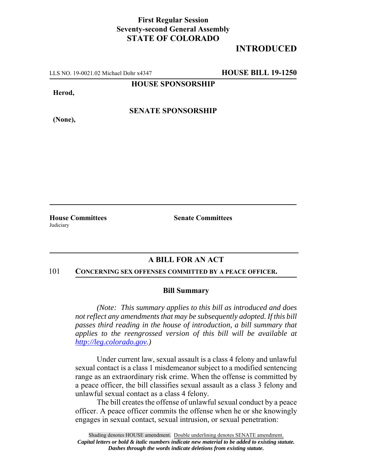## **First Regular Session Seventy-second General Assembly STATE OF COLORADO**

# **INTRODUCED**

LLS NO. 19-0021.02 Michael Dohr x4347 **HOUSE BILL 19-1250**

**HOUSE SPONSORSHIP**

**Herod,**

**(None),**

**SENATE SPONSORSHIP**

**Judiciary** 

**House Committees Senate Committees** 

## **A BILL FOR AN ACT**

#### 101 **CONCERNING SEX OFFENSES COMMITTED BY A PEACE OFFICER.**

### **Bill Summary**

*(Note: This summary applies to this bill as introduced and does not reflect any amendments that may be subsequently adopted. If this bill passes third reading in the house of introduction, a bill summary that applies to the reengrossed version of this bill will be available at http://leg.colorado.gov.)*

Under current law, sexual assault is a class 4 felony and unlawful sexual contact is a class 1 misdemeanor subject to a modified sentencing range as an extraordinary risk crime. When the offense is committed by a peace officer, the bill classifies sexual assault as a class 3 felony and unlawful sexual contact as a class 4 felony.

The bill creates the offense of unlawful sexual conduct by a peace officer. A peace officer commits the offense when he or she knowingly engages in sexual contact, sexual intrusion, or sexual penetration: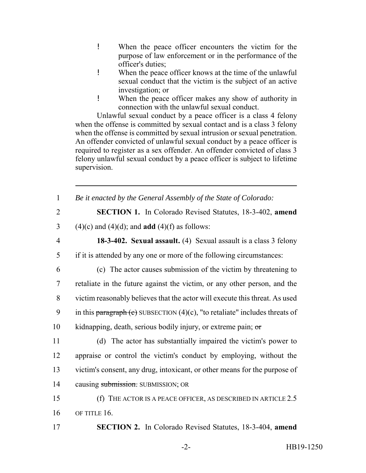- ! When the peace officer encounters the victim for the purpose of law enforcement or in the performance of the officer's duties;
- ! When the peace officer knows at the time of the unlawful sexual conduct that the victim is the subject of an active investigation; or
- ! When the peace officer makes any show of authority in connection with the unlawful sexual conduct.

Unlawful sexual conduct by a peace officer is a class 4 felony when the offense is committed by sexual contact and is a class 3 felony when the offense is committed by sexual intrusion or sexual penetration. An offender convicted of unlawful sexual conduct by a peace officer is required to register as a sex offender. An offender convicted of class 3 felony unlawful sexual conduct by a peace officer is subject to lifetime supervision.

| $\mathbf{1}$   | Be it enacted by the General Assembly of the State of Colorado:                |
|----------------|--------------------------------------------------------------------------------|
| $\overline{2}$ | <b>SECTION 1.</b> In Colorado Revised Statutes, 18-3-402, amend                |
| 3              | $(4)(c)$ and $(4)(d)$ ; and <b>add</b> $(4)(f)$ as follows:                    |
| $\overline{4}$ | 18-3-402. Sexual assault. (4) Sexual assault is a class 3 felony               |
| 5              | if it is attended by any one or more of the following circumstances:           |
| 6              | (c) The actor causes submission of the victim by threatening to                |
| $\overline{7}$ | retaliate in the future against the victim, or any other person, and the       |
| 8              | victim reasonably believes that the actor will execute this threat. As used    |
| 9              | in this paragraph (c) SUBSECTION $(4)(c)$ , "to retaliate" includes threats of |
| 10             | kidnapping, death, serious bodily injury, or extreme pain; $\sigma$            |
| 11             | (d) The actor has substantially impaired the victim's power to                 |
| 12             | appraise or control the victim's conduct by employing, without the             |
| 13             | victim's consent, any drug, intoxicant, or other means for the purpose of      |
| 14             | causing submission. SUBMISSION; OR                                             |
| 15             | (f) THE ACTOR IS A PEACE OFFICER, AS DESCRIBED IN ARTICLE $2.5$                |
| 16             | OF TITLE 16.                                                                   |
| 17             | <b>SECTION 2.</b> In Colorado Revised Statutes, 18-3-404, amend                |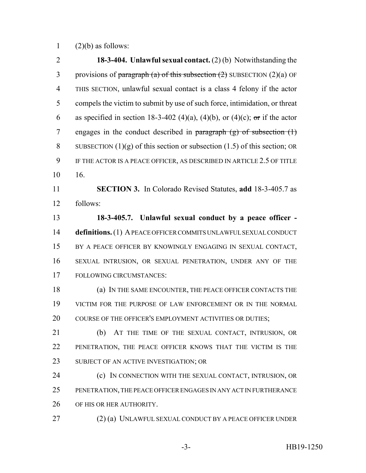1  $(2)(b)$  as follows:

 **18-3-404. Unlawful sexual contact.** (2) (b) Notwithstanding the 3 provisions of paragraph (a) of this subsection  $(2)$  SUBSECTION  $(2)(a)$  OF THIS SECTION, unlawful sexual contact is a class 4 felony if the actor compels the victim to submit by use of such force, intimidation, or threat 6 as specified in section 18-3-402 (4)(a), (4)(b), or (4)(c); or if the actor 7 engages in the conduct described in paragraph  $(g)$  of subsection  $(1)$ 8 SUBSECTION  $(1)(g)$  of this section or subsection  $(1.5)$  of this section; OR IF THE ACTOR IS A PEACE OFFICER, AS DESCRIBED IN ARTICLE 2.5 OF TITLE 16. **SECTION 3.** In Colorado Revised Statutes, **add** 18-3-405.7 as follows: **18-3-405.7. Unlawful sexual conduct by a peace officer - definitions.** (1) A PEACE OFFICER COMMITS UNLAWFUL SEXUAL CONDUCT BY A PEACE OFFICER BY KNOWINGLY ENGAGING IN SEXUAL CONTACT, SEXUAL INTRUSION, OR SEXUAL PENETRATION, UNDER ANY OF THE FOLLOWING CIRCUMSTANCES: (a) IN THE SAME ENCOUNTER, THE PEACE OFFICER CONTACTS THE VICTIM FOR THE PURPOSE OF LAW ENFORCEMENT OR IN THE NORMAL 20 COURSE OF THE OFFICER'S EMPLOYMENT ACTIVITIES OR DUTIES; (b) AT THE TIME OF THE SEXUAL CONTACT, INTRUSION, OR PENETRATION, THE PEACE OFFICER KNOWS THAT THE VICTIM IS THE 23 SUBJECT OF AN ACTIVE INVESTIGATION; OR (c) IN CONNECTION WITH THE SEXUAL CONTACT, INTRUSION, OR PENETRATION, THE PEACE OFFICER ENGAGES IN ANY ACT IN FURTHERANCE 26 OF HIS OR HER AUTHORITY. (2) (a) UNLAWFUL SEXUAL CONDUCT BY A PEACE OFFICER UNDER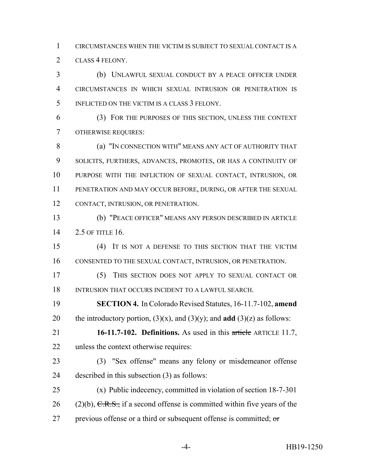CIRCUMSTANCES WHEN THE VICTIM IS SUBJECT TO SEXUAL CONTACT IS A CLASS 4 FELONY.

 (b) UNLAWFUL SEXUAL CONDUCT BY A PEACE OFFICER UNDER CIRCUMSTANCES IN WHICH SEXUAL INTRUSION OR PENETRATION IS INFLICTED ON THE VICTIM IS A CLASS 3 FELONY.

 (3) FOR THE PURPOSES OF THIS SECTION, UNLESS THE CONTEXT OTHERWISE REQUIRES:

**(a) "IN CONNECTION WITH" MEANS ANY ACT OF AUTHORITY THAT**  SOLICITS, FURTHERS, ADVANCES, PROMOTES, OR HAS A CONTINUITY OF PURPOSE WITH THE INFLICTION OF SEXUAL CONTACT, INTRUSION, OR PENETRATION AND MAY OCCUR BEFORE, DURING, OR AFTER THE SEXUAL CONTACT, INTRUSION, OR PENETRATION.

 (b) "PEACE OFFICER" MEANS ANY PERSON DESCRIBED IN ARTICLE 2.5 OF TITLE 16.

 (4) IT IS NOT A DEFENSE TO THIS SECTION THAT THE VICTIM CONSENTED TO THE SEXUAL CONTACT, INTRUSION, OR PENETRATION.

 (5) THIS SECTION DOES NOT APPLY TO SEXUAL CONTACT OR 18 INTRUSION THAT OCCURS INCIDENT TO A LAWFUL SEARCH.

 **SECTION 4.** In Colorado Revised Statutes, 16-11.7-102, **amend** 20 the introductory portion,  $(3)(x)$ , and  $(3)(y)$ ; and **add**  $(3)(z)$  as follows:

 **16-11.7-102. Definitions.** As used in this article ARTICLE 11.7, unless the context otherwise requires:

 (3) "Sex offense" means any felony or misdemeanor offense described in this subsection (3) as follows:

 (x) Public indecency, committed in violation of section 18-7-301 26 (2)(b),  $C.R.S.,$  if a second offense is committed within five years of the 27 previous offense or a third or subsequent offense is committed;  $\sigma$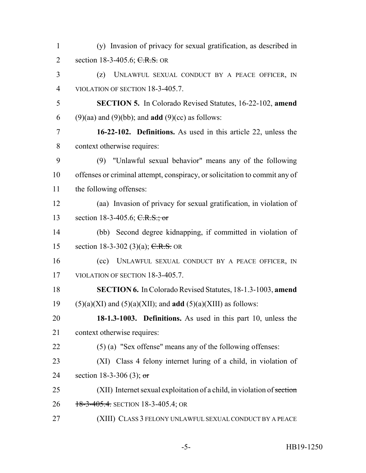| $\mathbf{1}$   | (y) Invasion of privacy for sexual gratification, as described in          |
|----------------|----------------------------------------------------------------------------|
| 2              | section 18-3-405.6; C.R.S. OR                                              |
| 3              | UNLAWFUL SEXUAL CONDUCT BY A PEACE OFFICER, IN<br>(z)                      |
| $\overline{4}$ | VIOLATION OF SECTION 18-3-405.7.                                           |
| 5              | <b>SECTION 5.</b> In Colorado Revised Statutes, 16-22-102, amend           |
| 6              | $(9)(aa)$ and $(9)(bb)$ ; and <b>add</b> $(9)(cc)$ as follows:             |
| $\overline{7}$ | 16-22-102. Definitions. As used in this article 22, unless the             |
| 8              | context otherwise requires:                                                |
| 9              | (9) "Unlawful sexual behavior" means any of the following                  |
| 10             | offenses or criminal attempt, conspiracy, or solicitation to commit any of |
| 11             | the following offenses:                                                    |
| 12             | (aa) Invasion of privacy for sexual gratification, in violation of         |
| 13             | section 18-3-405.6; $C.R.S.; or$                                           |
| 14             | (bb) Second degree kidnapping, if committed in violation of                |
| 15             | section 18-3-302 (3)(a); $C.R.S.$ OR                                       |
| 16             | UNLAWFUL SEXUAL CONDUCT BY A PEACE OFFICER, IN<br>(cc)                     |
| 17             | VIOLATION OF SECTION 18-3-405.7.                                           |
| 18             | <b>SECTION 6.</b> In Colorado Revised Statutes, 18-1.3-1003, amend         |
| 19             | $(5)(a)(XI)$ and $(5)(a)(XII)$ ; and <b>add</b> $(5)(a)(XIII)$ as follows: |
| 20             | 18-1.3-1003. Definitions. As used in this part 10, unless the              |
| 21             | context otherwise requires:                                                |
| 22             | $(5)$ (a) "Sex offense" means any of the following offenses:               |
| 23             | (XI) Class 4 felony internet luring of a child, in violation of            |
| 24             | section 18-3-306 (3); or                                                   |
| 25             | (XII) Internet sexual exploitation of a child, in violation of section     |
| 26             | 18-3-405.4. SECTION 18-3-405.4; OR                                         |
| 27             | (XIII) CLASS 3 FELONY UNLAWFUL SEXUAL CONDUCT BY A PEACE                   |